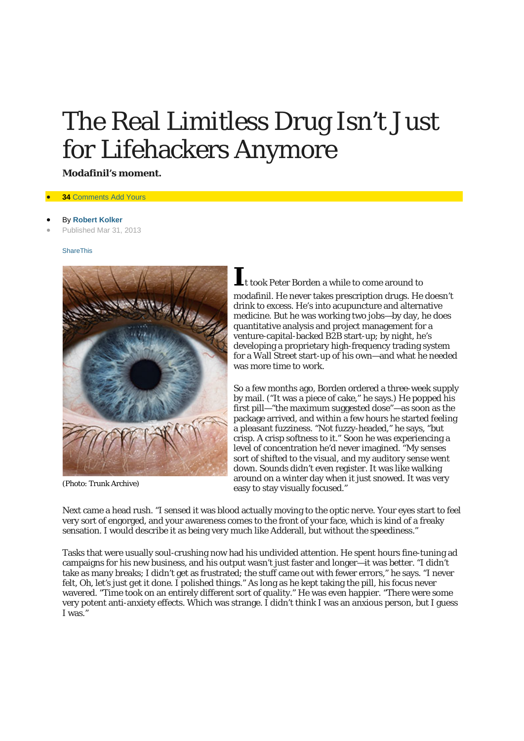# The Real *Limitless* Drug Isn't Just for Lifehackers Anymore

**Modafinil's moment.**

### **34 [Comments](http://nymag.com/news/intelligencer/modafinil-2013-4/comments.html#comments) Add Yours**

### • By **[Robert Kolker](http://nymag.com/nymag/author_385)**

• Published Mar 31, 2013

#### [ShareThis](javascript:void(0);)



(Photo: Trunk Archive)

**I**t took Peter Borden a while to come around to modafinil. He never takes prescription drugs. He doesn't drink to excess. He's into acupuncture and alternative medicine. But he was working two jobs—by day, he does quantitative analysis and project management for a venture-capital-backed B2B start-up; by night, he's developing a proprietary high-frequency trading system for a Wall Street start-up of his own—and what he needed was more time to work.

So a few months ago, Borden ordered a three-week supply by mail. ("It was a piece of cake," he says.) He popped his first pill—"the maximum suggested dose"—as soon as the package arrived, and within a few hours he started feeling a pleasant fuzziness. "Not fuzzy-headed," he says, "but crisp. A crisp softness to it." Soon he was experiencing a level of concentration he'd never imagined. "My senses sort of shifted to the visual, and my auditory sense went down. Sounds didn't even register. It was like walking around on a winter day when it just snowed. It was very easy to stay visually focused."

Next came a head rush. "I sensed it was blood actually moving to the optic nerve. Your eyes start to feel very sort of engorged, and your awareness comes to the front of your face, which is kind of a freaky sensation. I would describe it as being very much like Adderall, but without the speediness."

Tasks that were usually soul-crushing now had his undivided attention. He spent hours fine-tuning ad campaigns for his new business, and his output wasn't just faster and longer—it was better. "I didn't take as many breaks; I didn't get as frustrated; the stuff came out with fewer errors," he says. "I never felt, *Oh, let's just get it done.* I polished things." As long as he kept taking the pill, his focus never wavered. "Time took on an entirely different sort of quality." He was even happier. "There were some very potent anti-anxiety effects. Which was strange. I didn't think I was an anxious person, but I guess I was."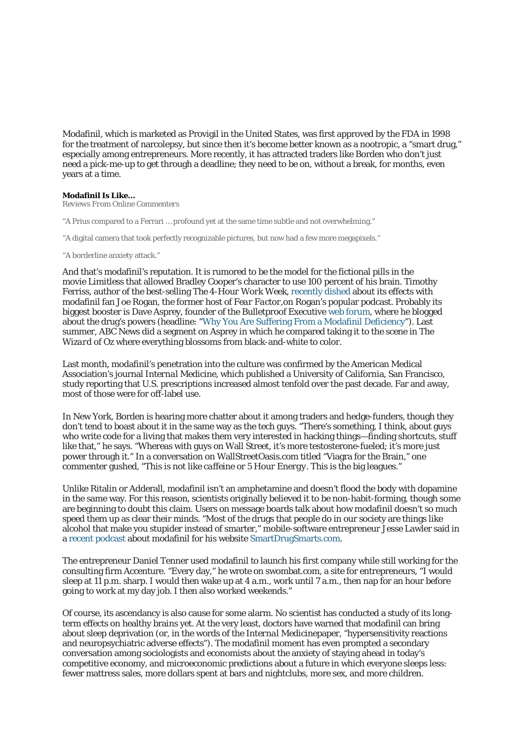Modafinil, which is marketed as Provigil in the United States, was first approved by the FDA in 1998 for the treatment of narcolepsy, but since then it's become better known as a nootropic, a "smart drug," especially among entrepreneurs. More recently, it has attracted traders like Borden who don't just need a pick-me-up to get through a deadline; they need to be *on,* without a break, for months, even years at a time.

## **Modafinil Is Like…**

*Reviews From Online Commenters*

"A Prius compared to a Ferrari … profound yet at the same time subtle and not overwhelming."

"A digital camera that took perfectly recognizable pictures, but now had a few more megapixels."

"A borderline anxiety attack."

And that's modafinil's reputation. It is rumored to be the model for the fictional pills in the movie *Limitless* that allowed Bradley Cooper's character to use 100 percent of his brain. Timothy Ferriss, author of the best-selling *The 4-Hour Work Week,* [recently dished](http://www.youtube.com/watch?v=Nfr0GUDyIkw) about its effects with modafinil fan Joe Rogan, the former host of *Fear Factor,*on Rogan's popular podcast. Probably its biggest booster is Dave Asprey, founder of the Bulletproof Executive [web forum,](http://www.bulletproofexec.com/) where he blogged about the drug's powers (headline: ["Why You Are Suffering From a Modafinil Deficiency"](http://www.bulletproofexec.com/why-you-are-suffering-from-a-modafinil-deficiency/)). Last summer, ABC News did a segment on Asprey in which he compared taking it to the scene in *The Wizard of Oz* where everything blossoms from black-and-white to color.

Last month, modafinil's penetration into the culture was confirmed by the American Medical Association's journal *Internal Medicine,* which published a University of California, San Francisco, study reporting that U.S. prescriptions increased almost tenfold over the past decade. Far and away, most of those were for off-label use.

In New York, Borden is hearing more chatter about it among traders and hedge-funders, though they don't tend to boast about it in the same way as the tech guys. "There's something, I think, about guys who write code for a living that makes them very interested in hacking things—finding shortcuts, stuff like that," he says. "Whereas with guys on Wall Street, it's more testosterone-fueled; it's more just power through it." In a conversation on WallStreetOasis.com titled "Viagra for the Brain," one commenter gushed, "This *is not like caffeine* or *5 Hour Energy.* This is the big leagues."

Unlike Ritalin or Adderall, modafinil isn't an amphetamine and doesn't flood the body with dopamine in the same way. For this reason, scientists originally believed it to be non-habit-forming, though some are beginning to doubt this claim. Users on message boards talk about how modafinil doesn't so much speed them up as clear their minds. "Most of the drugs that people do in our society are things like alcohol that make you stupider instead of smarter," mobile-software entrepreneur Jesse Lawler said in a [recent podcast](http://smartdrugsmarts.com/testing-smart-drug-modafinil/) about modafinil for his website [SmartDrugSmarts.com.](http://smartdrugsmarts.com/)

The entrepreneur Daniel Tenner used modafinil to launch his first company while still working for the consulting firm Accenture. "Every day," he wrote on swombat.com, a site for entrepreneurs, "I would sleep at 11 p.m. sharp. I would then wake up at 4 a.m., work until 7 a.m., then nap for an hour before going to work at my day job. I then also worked weekends."

Of course, its ascendancy is also cause for some alarm. No scientist has conducted a study of its longterm effects on healthy brains yet. At the very least, doctors have warned that modafinil can bring about sleep deprivation (or, in the words of the *Internal Medicine*paper, "hypersensitivity reactions and neuropsychiatric adverse effects"). The modafinil moment has even prompted a secondary conversation among sociologists and economists about the anxiety of staying ahead in today's competitive economy, and microeconomic predictions about a future in which everyone sleeps less: fewer mattress sales, more dollars spent at bars and nightclubs, more sex, and more children.